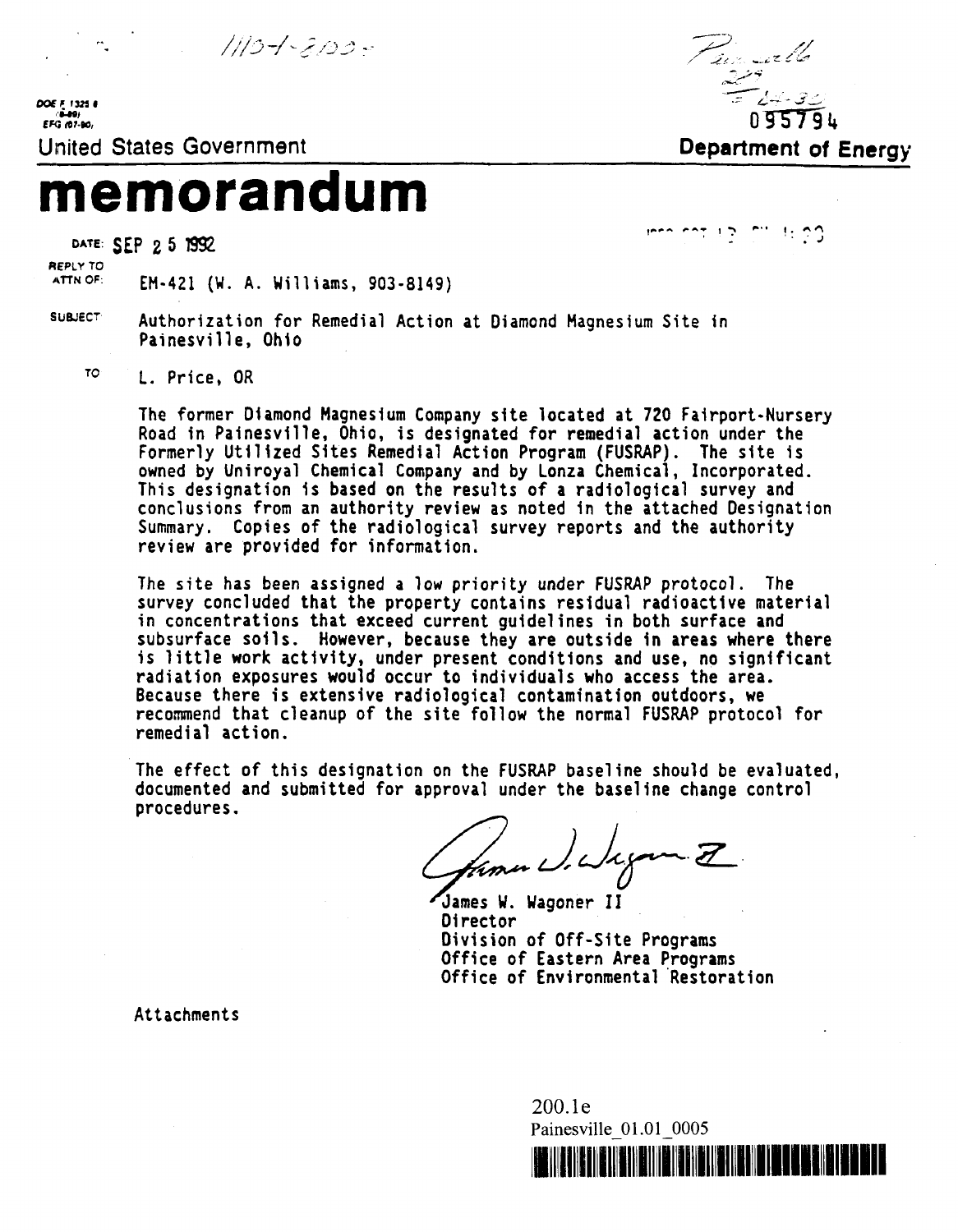1110-1-2120-

*DOE F* 1325 0<br> **EFG (07-80)** 



# **memorandum**

DATE: **SEP 2 5 1992** 

 **•: J •'**

**REPLY TO**

ATTNOF: **EM-421 (W. A. Williams, 903-8149)**

- SUBJECT **Authorization for Remedial Action at Diamond Magnesium Site in Painesville, Ohio**
	- **T0**

 **L. Price, OR**

**The former Diamond Magnesium Company site located at 720 Fairport-Nursery Road in Painesville, Ohio, is designated for remedial action under the Formerly Utilized Sites Remedial Action Program (FUSRAP). The site is owned by Uniroyal Chemical Company and by Lonza Chemical, Incorporated. This designation is based on the results of a radiological survey and conclusions from an authority review as noted in the attached Designation Summary. Copies of the radiological survey reports and the authority review are provided for information.**

**The site has been assigned a low priority under FUSRAP protocol. The survey concluded that the property contains residual radioactive material in concentrations that exceed current guidelines in both surface and subsurface soils. However, because they are outside in areas where there is little work activity, under present conditions and use, no significant radiation exposures would occur to individuals who access the area. Because there is extensive radiological contamination outdoors, we recommend that cleanup of the site follow the normal FUSRAP protocol for remedial action.**

**The effect of this designation on the FUSRAP baseline should be evaluated, documented and submitted for approval under the baseline change control procedures.**

from what you I

**James W. Wagoner II Director Division of Off-Site Programs Office of Eastern Area Programs Office of Environmental Restoration**

**Attachments**

200.le Painesville 01.01 0005

<u>HENBIJA (SILBI) I</u>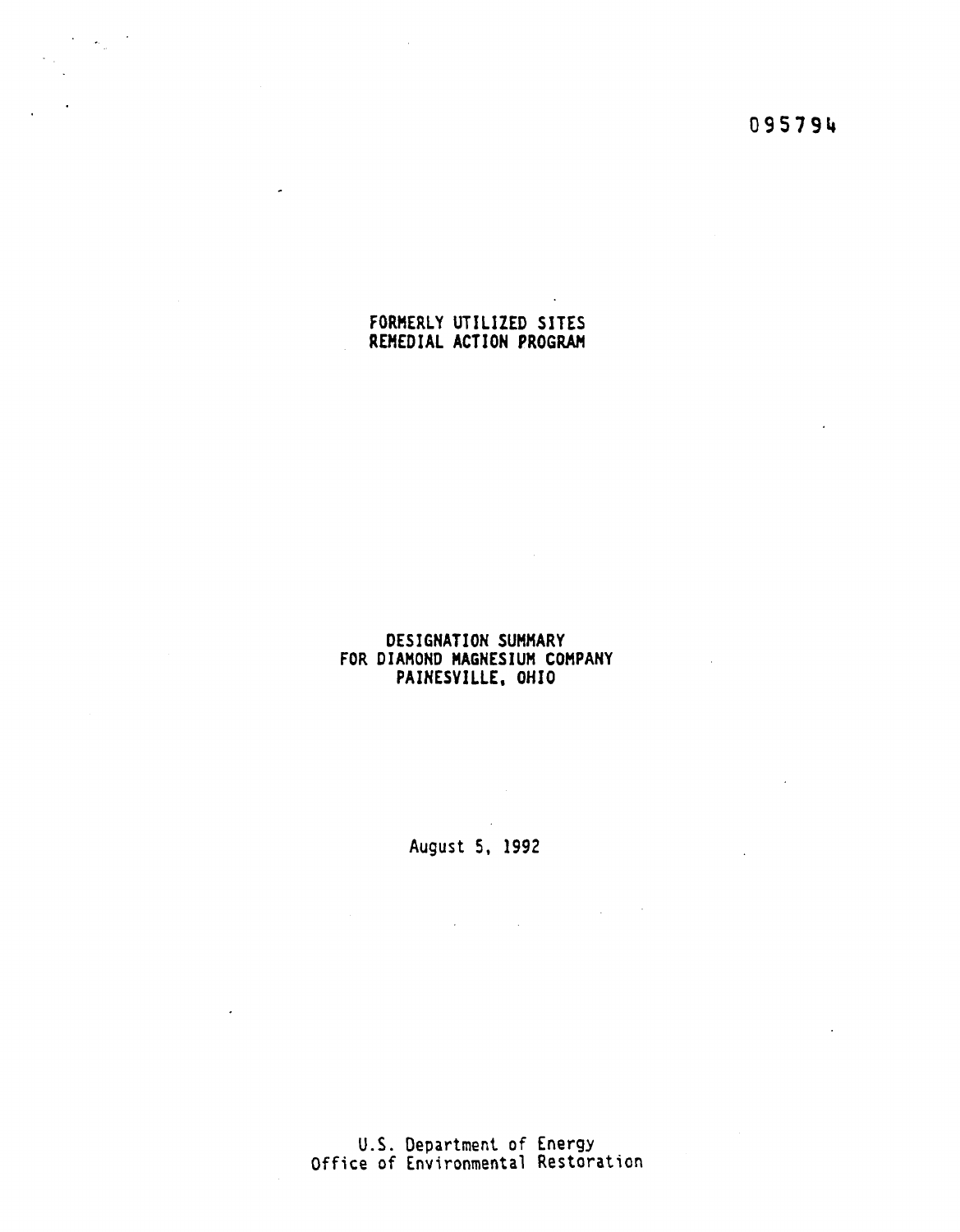**09579 U**

 $\sim$   $\sim$ 

 $\Delta \phi = 0.05$ 

# **FORMERLY UTILIZED SITES REMEDIAL ACTION PROGRAM**

 $\langle \sigma_{\rm{in}} \rangle$ 

 $\omega$ 

# **DESIGNATION SUMMARY FOR DIAMOND MAGNESIUM COMPANY PAINESVILLE, OHIO**

**August 5, 1992**

 $\mathcal{L}_{\text{max}}$  and  $\mathcal{L}_{\text{max}}$ 

 $\sim 10^{-1}$ 

**U.S. Department of Energy Office of Environmental Restoration**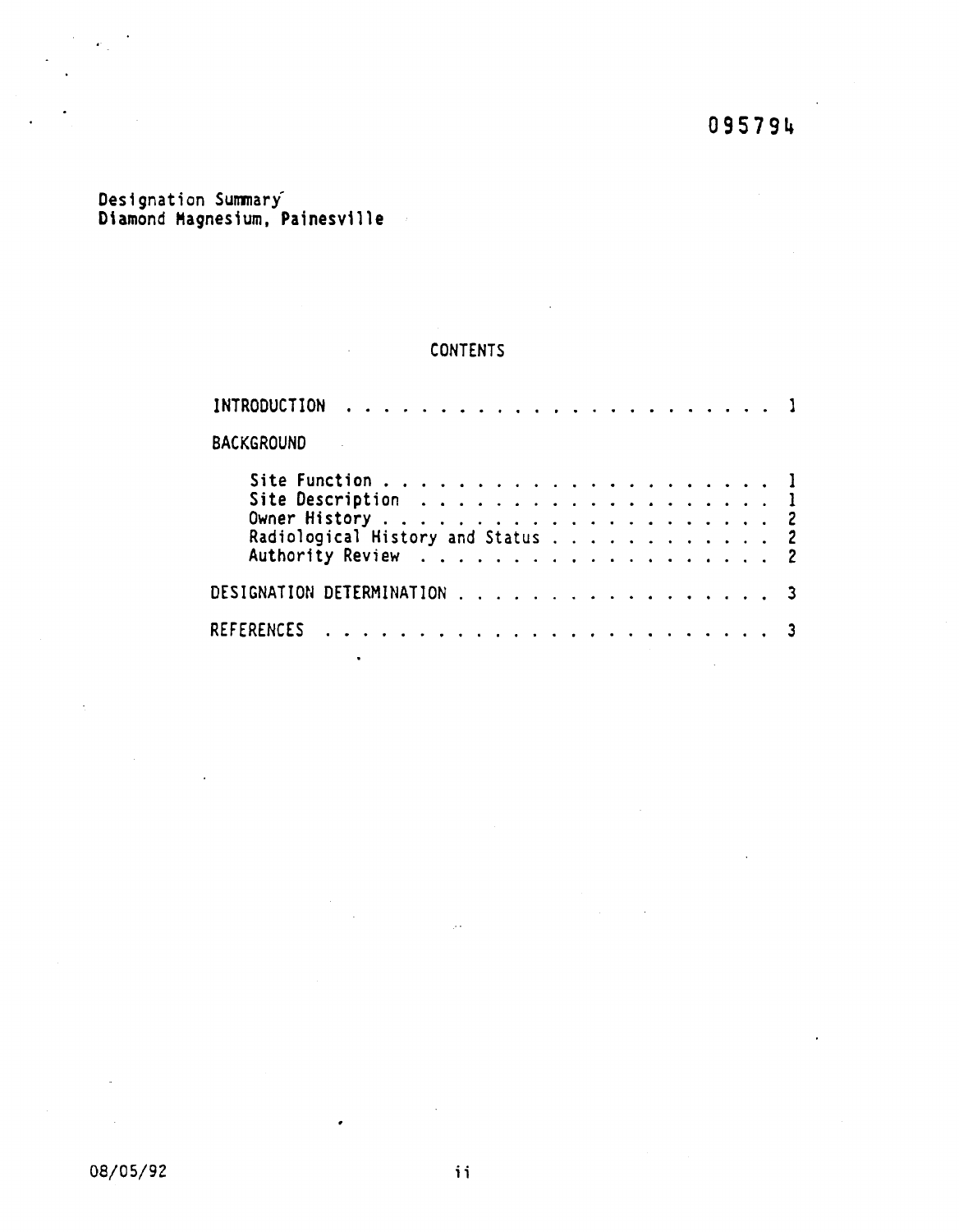# **Designation Summary' Diamond Magnesium, Painesville**

# **CONTENTS**

 $\bullet$ 

 $\bullet$ 

| <b>BACKGROUND</b>           |  |  |  |  |  |  |  |  |  |  |  |
|-----------------------------|--|--|--|--|--|--|--|--|--|--|--|
|                             |  |  |  |  |  |  |  |  |  |  |  |
|                             |  |  |  |  |  |  |  |  |  |  |  |
|                             |  |  |  |  |  |  |  |  |  |  |  |
| DESIGNATION DETERMINATION 3 |  |  |  |  |  |  |  |  |  |  |  |
|                             |  |  |  |  |  |  |  |  |  |  |  |
|                             |  |  |  |  |  |  |  |  |  |  |  |

 $\frac{1}{2}$  .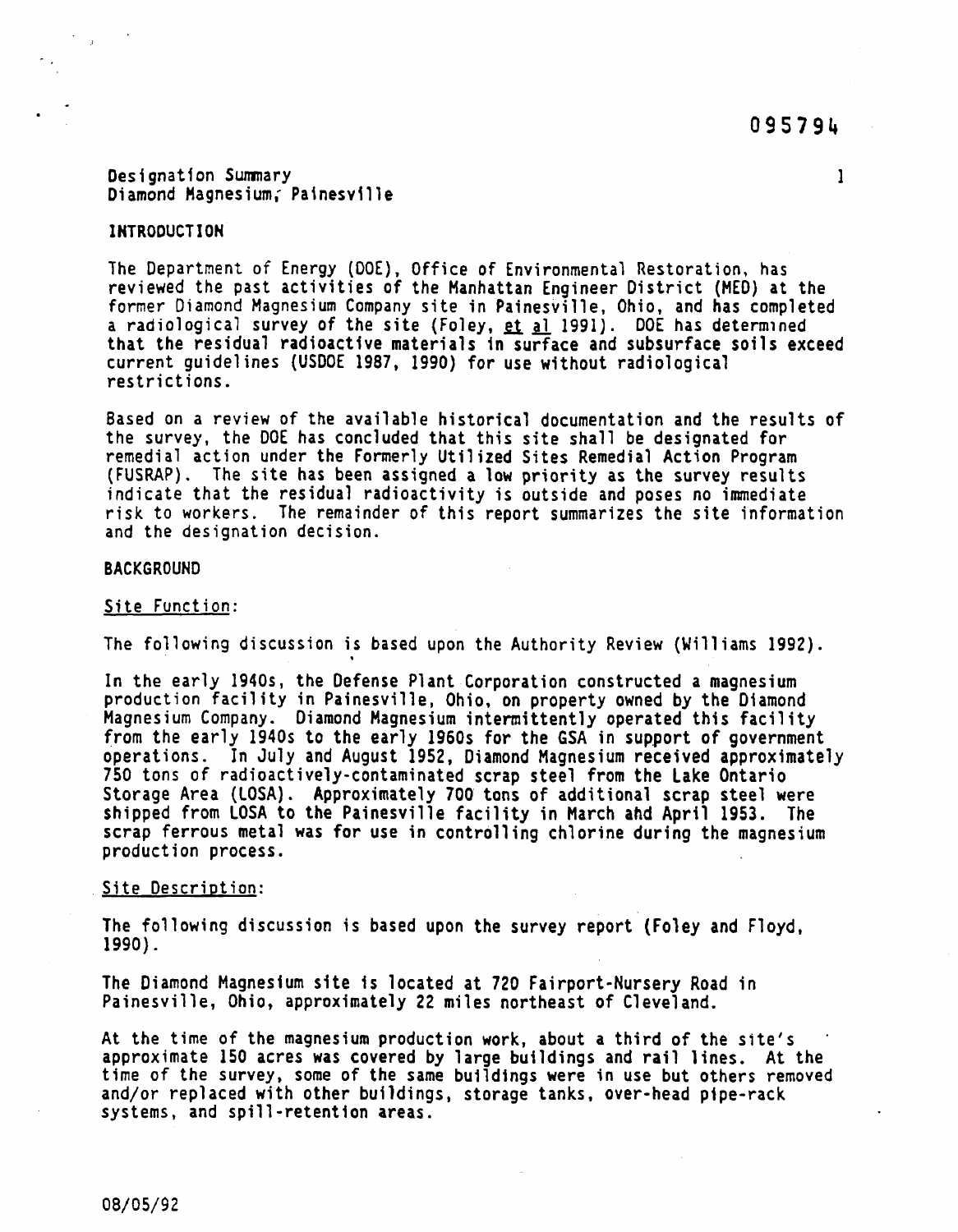**Designation Summary 1 Diamond Magnesium,' Patnesville**

**The Department of Energy (DOE), Office of Environmental Restoration, has reviewed the past activities of the Manhattan Engineer District (MED) at the former Diamond Magnesium Company site in Painesville, Ohio, and has completed** a radiological survey of the site (Foley, et al 1991). DOE has determined **that the residual radioactive materials in surface and subsurface soils exceed current guidelines (USDOE 1987, 1990) for use without radiological restrictions.**

**Based on a review of the available historical documentation and the results of the survey, the DOE has concluded that this site shall be designated for remedial action under the Formerly Utilized Sites Remedial Action Program (FUSRAP). The site has been assigned a low priority as the survey results indicate that the residual radioactivity is outside and poses no immediate risk to workers. The remainder of this report summarizes the site information and the designation decision.**

## **BACKGROUND**

#### **Site Function:**

**The following discussion is based upon the Authority Review (Williams 1992).**

**In the early 1940s, the Defense Plant Corporation constructed a magnesium production facility in Painesville, Ohio, on property owned by the Diamond Magnesium Company. Diamond Magnesium intermittently operated this facility from the early 1940s to the early 1960s for the 6SA in support of government operations. In July and August 1952, Diamond Magnesium received approximately 750 tons of radioactively-contaminated scrap steel from the Lake Ontario Storage Area (LOSA). Approximately 700 tons of additional scrap steel were shipped from LOSA to the Painesville facility in March and April 1953. The scrap ferrous metal was for use in controlling chlorine during the magnesium production process.**

#### **Site Description:**

**The following discussion is based upon the survey report (Foley and Floyd, 1990).**

**The Diamond Magnesium site is located at 720 Fairport-Nursery Road in Painesville, Ohio, approximately 22 miles northeast of Cleveland.**

**At the time of the magnesium production work, about a third of the site's approximate 150 acres was covered by large buildings and rail lines. At the time of the survey, some of the same buildings were in use but others removed and/or replaced with other buildings, storage tanks, over-head pipe-rack systems, and spill-retention areas.**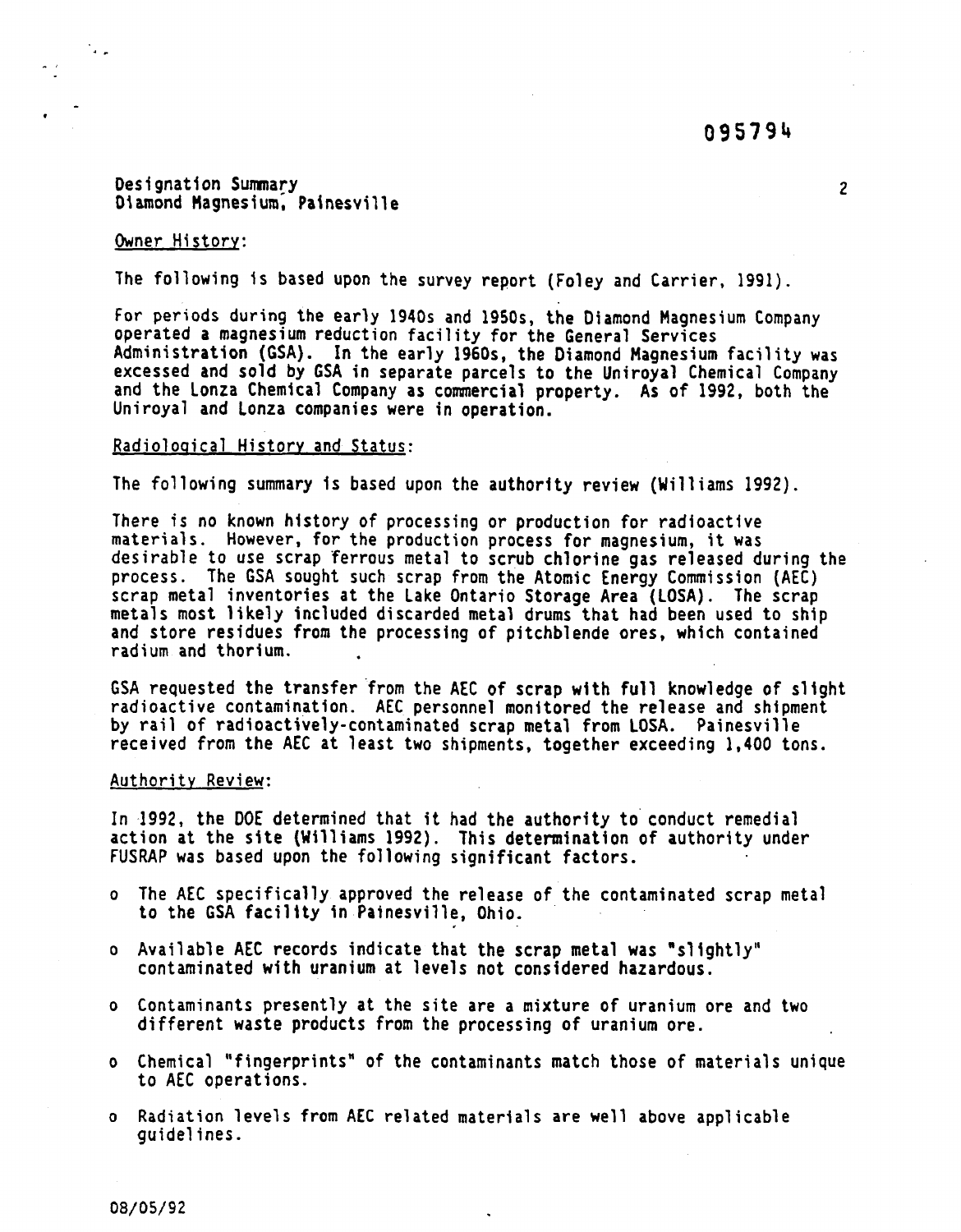# **Designation Summary 2** Diamond Magnesium, Painesville

# **Owner History:**

 $\mathcal{N}_{\mathbf{a},\mathbf{b}}$ 

**The following 1s based upon the survey report (Foley and Carrier, 1991).**

**For periods during the early 1940s and 1950s, the Oiamond Magnesium Company operated a magnesium reduction facility for the General Services Administration (GSA). In the early 1960s, the Oiamond Magnesium facility was excessed and sold by GSA in separate parcels to the Uniroyal Chemical Company and the Lonza Chemical Company as commercial property. As of 1992, both the Uniroyal and Lonza companies were in operation.**

## **Radiological History and Status:**

**The following summary 1s based upon the authority review (Williams 1992).**

**There is no known history of processing or production for radioactive materials. However, for the production process for magnesium, it was desirable to use scrap ferrous metal to scrub chlorine gas released during the process. The GSA sought such scrap from the Atomic Energy Commission (AEC) scrap metal inventories at the Lake Ontario Storage Area (LOSA). The scrap metals most likely included discarded metal drums that had been used to ship and store residues from the processing of pitchblende ores, which contained radium and thorium.**

**GSA requested the transfer from the AEC of scrap with full knowledge of slight radioactive contamination. AEC personnel monitored the release and shipment by rail of radioactively-contaminated scrap metal from LOSA. Painesville received from the AEC at least two shipments, together exceeding 1,400 tons.**

#### **Authority Review:**

**In 1992, the DOE determined that it had the authority to conduct remedial action at the site (Williams 1992). This determination of authority under FUSRAP was based upon the following significant factors.**

- **o The AEC specifically approved the release of the contaminated scrap metal to the GSA facility in Painesville, Ohio.**
- **o Available AEC records indicate that the scrap metal was "slightly" contaminated with uranium at levels not considered hazardous.**
- **o Contaminants presently at the site are a mixture of uranium ore and two different waste products from the processing of uranium ore.**
- **o Chemical "fingerprints" of the contaminants match those of materials unique to AEC operations.**
- **o Radiation levels from AEC related materials are well above applicable guidelines.**